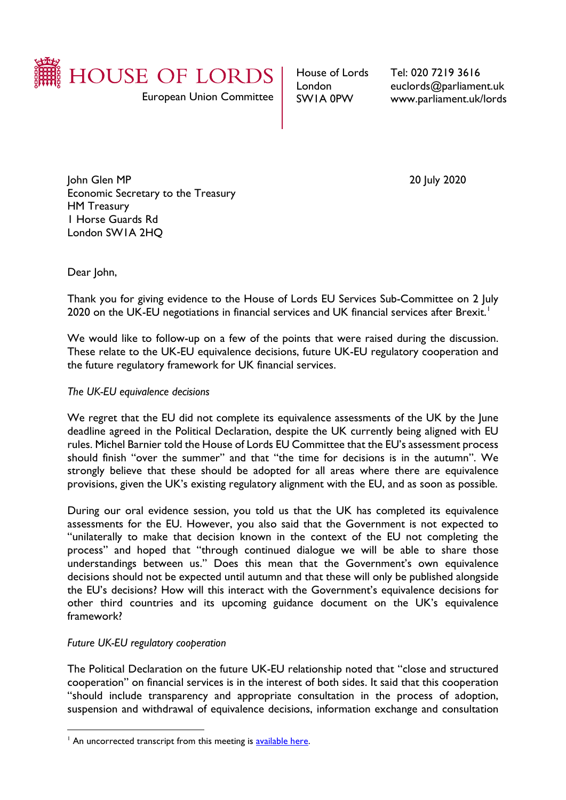

European Union Committee

House of Lords London SW1A 0PW

Tel: 020 7219 3616 euclords@parliament.uk www.parliament.uk/lords

John Glen MP 20 July 2020 Economic Secretary to the Treasury HM Treasury 1 Horse Guards Rd London SW1A 2HQ

Dear John,

Thank you for giving evidence to the House of Lords EU Services Sub-Committee on 2 July 2020 on the UK-EU negotiations in financial services and UK financial services after Brexit.<sup>1</sup>

We would like to follow-up on a few of the points that were raised during the discussion. These relate to the UK-EU equivalence decisions, future UK-EU regulatory cooperation and the future regulatory framework for UK financial services.

## *The UK-EU equivalence decisions*

We regret that the EU did not complete its equivalence assessments of the UK by the June deadline agreed in the Political Declaration, despite the UK currently being aligned with EU rules. Michel Barnier told the House of Lords EU Committee that the EU's assessment process should finish "over the summer" and that "the time for decisions is in the autumn". We strongly believe that these should be adopted for all areas where there are equivalence provisions, given the UK's existing regulatory alignment with the EU, and as soon as possible.

During our oral evidence session, you told us that the UK has completed its equivalence assessments for the EU. However, you also said that the Government is not expected to "unilaterally to make that decision known in the context of the EU not completing the process" and hoped that "through continued dialogue we will be able to share those understandings between us." Does this mean that the Government's own equivalence decisions should not be expected until autumn and that these will only be published alongside the EU's decisions? How will this interact with the Government's equivalence decisions for other third countries and its upcoming guidance document on the UK's equivalence framework?

## *Future UK-EU regulatory cooperation*

The Political Declaration on the future UK-EU relationship noted that "close and structured cooperation" on financial services is in the interest of both sides. It said that this cooperation "should include transparency and appropriate consultation in the process of adoption, suspension and withdrawal of equivalence decisions, information exchange and consultation

<span id="page-0-0"></span><sup>&</sup>lt;sup>1</sup> An uncorrected transcript from this meeting is available here.